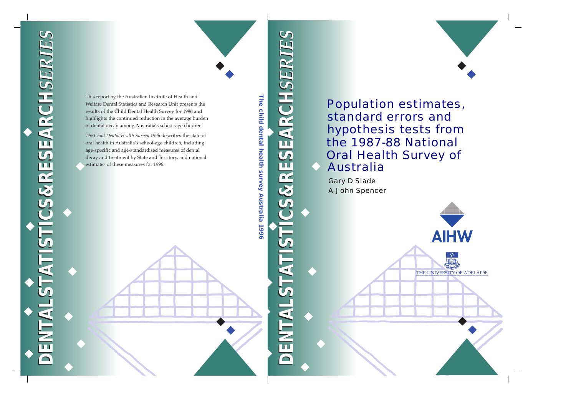# **DENTALSTATISTICS&RESEARCH***SERIES* **DENTALSTATISTICS&RESEARCH***SERIES* CS&RESEARCHSERT  $\frac{1}{2}$ ENTA



**AIHW** 

THE UNIVERSITY OF ADELAIDE

## Population estimates, standard errors and hypothesis tests from the 1987-88 National Oral Health Survey of Australia

A John Spencer Gary D Slade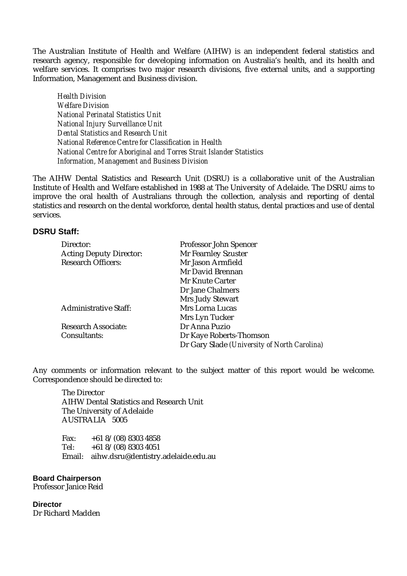The Australian Institute of Health and Welfare (AIHW) is an independent federal statistics and research agency, responsible for developing information on Australia's health, and its health and welfare services. It comprises two major research divisions, five external units, and a supporting Information, Management and Business division.

*Health Division Welfare Division National Perinatal Statistics Unit National Injury Surveillance Unit Dental Statistics and Research Unit National Reference Centre for Classification in Health National Centre for Aboriginal and Torres Strait Islander Statistics Information, Management and Business Division*

The AIHW Dental Statistics and Research Unit (DSRU) is a collaborative unit of the Australian Institute of Health and Welfare established in 1988 at The University of Adelaide. The DSRU aims to improve the oral health of Australians through the collection, analysis and reporting of dental statistics and research on the dental workforce, dental health status, dental practices and use of dental services.

#### **DSRU Staff:**

| Director:                      | Professor John Spencer                       |
|--------------------------------|----------------------------------------------|
| <b>Acting Deputy Director:</b> | Mr Fearnley Szuster                          |
| <b>Research Officers:</b>      | Mr Jason Armfield                            |
|                                | Mr David Brennan                             |
|                                | <b>Mr Knute Carter</b>                       |
|                                | Dr Jane Chalmers                             |
|                                | Mrs Judy Stewart                             |
| <b>Administrative Staff:</b>   | <b>Mrs Lorna Lucas</b>                       |
|                                | Mrs Lyn Tucker                               |
| <b>Research Associate:</b>     | Dr Anna Puzio                                |
| Consultants:                   | Dr Kaye Roberts-Thomson                      |
|                                | Dr Gary Slade (University of North Carolina) |

Any comments or information relevant to the subject matter of this report would be welcome. Correspondence should be directed to:

The Director AIHW Dental Statistics and Research Unit The University of Adelaide AUSTRALIA 5005

Fax:  $+618/(08)83034858$ Tel:  $+618/(08)83034051$ Email: aihw.dsru@dentistry.adelaide.edu.au

**Board Chairperson** Professor Janice Reid

**Director** Dr Richard Madden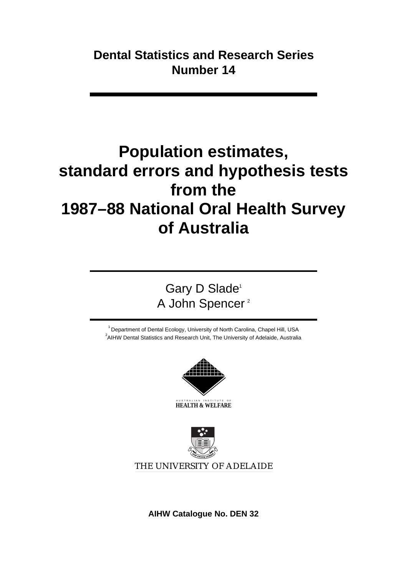## **Population estimates, standard errors and hypothesis tests from the 1987–88 National Oral Health Survey of Australia**

Gary D Slade<sup>1</sup> A John Spencer<sup>2</sup>

 $1$  Department of Dental Ecology, University of North Carolina, Chapel Hill, USA  $^2$ AIHW Dental Statistics and Research Unit, The University of Adelaide, Australia



AUSTRALIAN INSTITUTE OF **HEALTH & WELFARE**



**AIHW Catalogue No. DEN 32**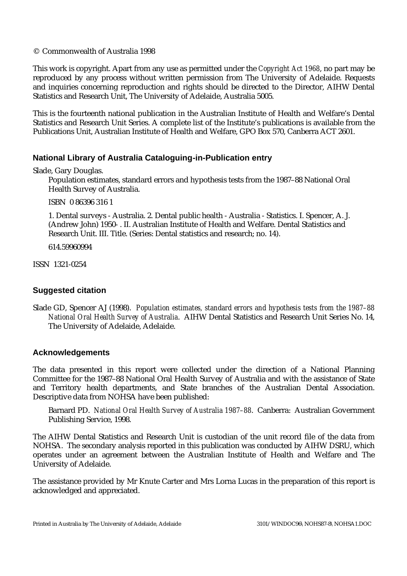#### © Commonwealth of Australia 1998

This work is copyright. Apart from any use as permitted under the *Copyright Act 1968*, no part may be reproduced by any process without written permission from The University of Adelaide. Requests and inquiries concerning reproduction and rights should be directed to the Director, AIHW Dental Statistics and Research Unit, The University of Adelaide, Australia 5005.

This is the fourteenth national publication in the Australian Institute of Health and Welfare's Dental Statistics and Research Unit Series. A complete list of the Institute's publications is available from the Publications Unit, Australian Institute of Health and Welfare, GPO Box 570, Canberra ACT 2601.

### **National Library of Australia Cataloguing-in-Publication entry**

Slade, Gary Douglas.

Population estimates, standard errors and hypothesis tests from the 1987–88 National Oral Health Survey of Australia.

ISBN 0 86396 316 1

1. Dental surveys - Australia. 2. Dental public health - Australia - Statistics. I. Spencer, A. J. (Andrew John) 1950- . II. Australian Institute of Health and Welfare. Dental Statistics and Research Unit. III. Title. (Series: Dental statistics and research; no. 14).

614.59960994

ISSN 1321-0254

#### **Suggested citation**

Slade GD, Spencer AJ (1998). *Population estimates, standard errors and hypothesis tests from the 1987–88 National Oral Health Survey of Australia*. AIHW Dental Statistics and Research Unit Series No. 14, The University of Adelaide, Adelaide.

#### **Acknowledgements**

The data presented in this report were collected under the direction of a National Planning Committee for the 1987–88 National Oral Health Survey of Australia and with the assistance of State and Territory health departments, and State branches of the Australian Dental Association. Descriptive data from NOHSA have been published:

Barnard PD. *National Oral Health Survey of Australia 1987–88*. Canberra: Australian Government Publishing Service, 1998.

The AIHW Dental Statistics and Research Unit is custodian of the unit record file of the data from NOHSA. The secondary analysis reported in this publication was conducted by AIHW DSRU, which operates under an agreement between the Australian Institute of Health and Welfare and The University of Adelaide.

The assistance provided by Mr Knute Carter and Mrs Lorna Lucas in the preparation of this report is acknowledged and appreciated.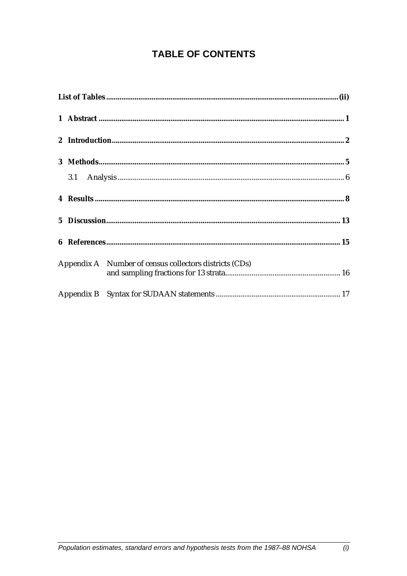## **TABLE OF CONTENTS**

|  | Appendix A Number of census collectors districts (CDs) |
|--|--------------------------------------------------------|
|  |                                                        |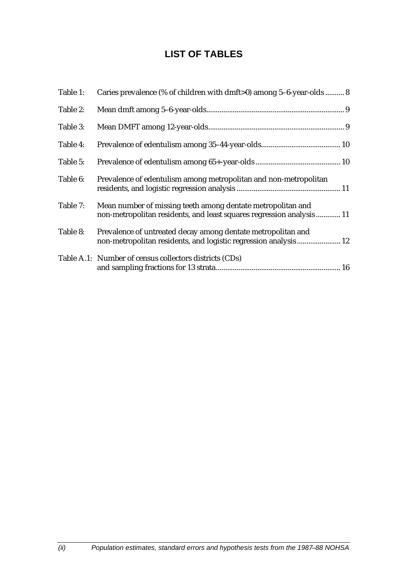## **LIST OF TABLES**

| Table 1: | Caries prevalence (% of children with dmft>0) among 5-6-year-olds  8                                                                |
|----------|-------------------------------------------------------------------------------------------------------------------------------------|
| Table 2: |                                                                                                                                     |
| Table 3: |                                                                                                                                     |
| Table 4: |                                                                                                                                     |
| Table 5: |                                                                                                                                     |
| Table 6: | Prevalence of edentulism among metropolitan and non-metropolitan                                                                    |
| Table 7: | Mean number of missing teeth among dentate metropolitan and<br>non-metropolitan residents, and least squares regression analysis 11 |
| Table 8: | Prevalence of untreated decay among dentate metropolitan and<br>non-metropolitan residents, and logistic regression analysis 12     |
|          | Table A.1: Number of census collectors districts (CDs)                                                                              |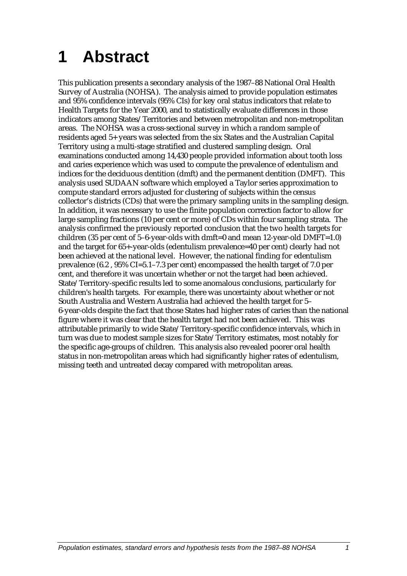## **1 Abstract**

This publication presents a secondary analysis of the 1987–88 National Oral Health Survey of Australia (NOHSA). The analysis aimed to provide population estimates and 95% confidence intervals (95% CIs) for key oral status indicators that relate to Health Targets for the Year 2000, and to statistically evaluate differences in those indicators among States/Territories and between metropolitan and non-metropolitan areas. The NOHSA was a cross-sectional survey in which a random sample of residents aged 5+ years was selected from the six States and the Australian Capital Territory using a multi-stage stratified and clustered sampling design. Oral examinations conducted among 14,430 people provided information about tooth loss and caries experience which was used to compute the prevalence of edentulism and indices for the deciduous dentition (dmft) and the permanent dentition (DMFT). This analysis used SUDAAN software which employed a Taylor series approximation to compute standard errors adjusted for clustering of subjects within the census collector's districts (CDs) that were the primary sampling units in the sampling design. In addition, it was necessary to use the finite population correction factor to allow for large sampling fractions (10 per cent or more) of CDs within four sampling strata. The analysis confirmed the previously reported conclusion that the two health targets for children (35 per cent of 5–6-year-olds with dmft=0 and mean 12-year-old  $DMFT=1.0$ ) and the target for 65+-year-olds (edentulism prevalence=40 per cent) clearly had not been achieved at the national level. However, the national finding for edentulism prevalence (6.2 , 95% CI=5.1–7.3 per cent) encompassed the health target of 7.0 per cent, and therefore it was uncertain whether or not the target had been achieved. State/Territory-specific results led to some anomalous conclusions, particularly for children's health targets. For example, there was uncertainty about whether or not South Australia and Western Australia had achieved the health target for 5– 6-year-olds despite the fact that those States had higher rates of caries than the national figure where it was clear that the health target had not been achieved. This was attributable primarily to wide State/Territory-specific confidence intervals, which in turn was due to modest sample sizes for State/Territory estimates, most notably for the specific age-groups of children. This analysis also revealed poorer oral health status in non-metropolitan areas which had significantly higher rates of edentulism, missing teeth and untreated decay compared with metropolitan areas.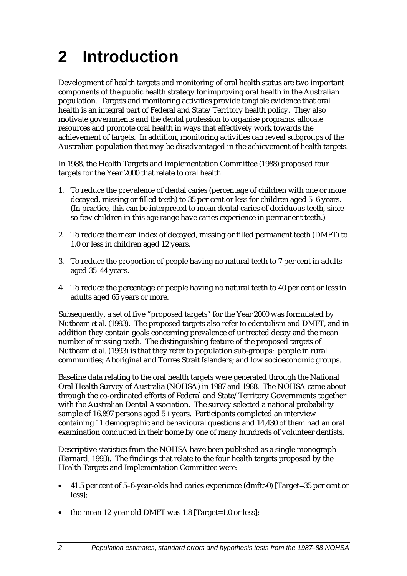# **2 Introduction**

Development of health targets and monitoring of oral health status are two important components of the public health strategy for improving oral health in the Australian population. Targets and monitoring activities provide tangible evidence that oral health is an integral part of Federal and State/Territory health policy. They also motivate governments and the dental profession to organise programs, allocate resources and promote oral health in ways that effectively work towards the achievement of targets. In addition, monitoring activities can reveal subgroups of the Australian population that may be disadvantaged in the achievement of health targets.

In 1988, the Health Targets and Implementation Committee (1988) proposed four targets for the Year 2000 that relate to oral health.

- 1. To reduce the prevalence of dental caries (percentage of children with one or more decayed, missing or filled teeth) to 35 per cent or less for children aged 5–6 years. (In practice, this can be interpreted to mean dental caries of deciduous teeth, since so few children in this age range have caries experience in permanent teeth.)
- 2. To reduce the mean index of decayed, missing or filled permanent teeth (DMFT) to 1.0 or less in children aged 12 years.
- 3. To reduce the proportion of people having no natural teeth to 7 per cent in adults aged 35–44 years.
- 4. To reduce the percentage of people having no natural teeth to 40 per cent or less in adults aged 65 years or more.

Subsequently, a set of five "proposed targets" for the Year 2000 was formulated by Nutbeam *et al.* (1993). The proposed targets also refer to edentulism and DMFT, and in addition they contain goals concerning prevalence of untreated decay and the mean number of missing teeth. The distinguishing feature of the proposed targets of Nutbeam *et al.* (1993) is that they refer to population sub-groups: people in rural communities; Aboriginal and Torres Strait Islanders; and low socioeconomic groups.

Baseline data relating to the oral health targets were generated through the National Oral Health Survey of Australia (NOHSA) in 1987 and 1988. The NOHSA came about through the co-ordinated efforts of Federal and State/Territory Governments together with the Australian Dental Association. The survey selected a national probability sample of 16,897 persons aged 5+ years. Participants completed an interview containing 11 demographic and behavioural questions and 14,430 of them had an oral examination conducted in their home by one of many hundreds of volunteer dentists.

Descriptive statistics from the NOHSA have been published as a single monograph (Barnard, 1993). The findings that relate to the four health targets proposed by the Health Targets and Implementation Committee were:

- 41.5 per cent of 5–6-year-olds had caries experience (dmft>0) [Target=35 per cent or less];
- the mean 12-year-old DMFT was 1.8 [Target=1.0 or less];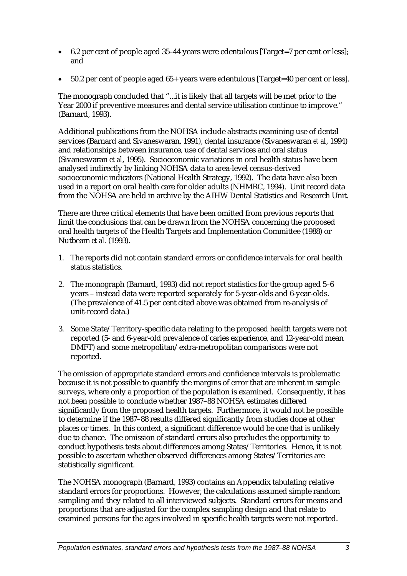- 6.2 per cent of people aged 35–44 years were edentulous [Target=7 per cent or less]; and
- 50.2 per cent of people aged 65+ years were edentulous [Target=40 per cent or less].

The monograph concluded that "...it is likely that all targets will be met prior to the Year 2000 if preventive measures and dental service utilisation continue to improve." (Barnard, 1993).

Additional publications from the NOHSA include abstracts examining use of dental services (Barnard and Sivaneswaran, 1991), dental insurance (Sivaneswaran *et al*, 1994) and relationships between insurance, use of dental services and oral status (Sivaneswaran *et al*, 1995). Socioeconomic variations in oral health status have been analysed indirectly by linking NOHSA data to area-level census-derived socioeconomic indicators (National Health Strategy, 1992). The data have also been used in a report on oral health care for older adults (NHMRC, 1994). Unit record data from the NOHSA are held in archive by the AIHW Dental Statistics and Research Unit.

There are three critical elements that have been omitted from previous reports that limit the conclusions that can be drawn from the NOHSA concerning the proposed oral health targets of the Health Targets and Implementation Committee (1988) or Nutbeam *et al.* (1993).

- 1. The reports did not contain standard errors or confidence intervals for oral health status statistics.
- 2. The monograph (Barnard, 1993) did not report statistics for the group aged 5–6 years – instead data were reported separately for 5-year-olds and 6-year-olds. (The prevalence of 41.5 per cent cited above was obtained from re-analysis of unit-record data.)
- 3. Some State/Territory-specific data relating to the proposed health targets were not reported (5- and 6-year-old prevalence of caries experience, and 12-year-old mean DMFT) and some metropolitan/extra-metropolitan comparisons were not reported.

The omission of appropriate standard errors and confidence intervals is problematic because it is not possible to quantify the margins of error that are inherent in sample surveys, where only a proportion of the population is examined. Consequently, it has not been possible to conclude whether 1987–88 NOHSA estimates differed significantly from the proposed health targets. Furthermore, it would not be possible to determine if the 1987–88 results differed significantly from studies done at other places or times. In this context, a significant difference would be one that is unlikely due to chance. The omission of standard errors also precludes the opportunity to conduct hypothesis tests about differences among States/Territories. Hence, it is not possible to ascertain whether observed differences among States/Territories are statistically significant.

The NOHSA monograph (Barnard, 1993) contains an Appendix tabulating relative standard errors for proportions. However, the calculations assumed simple random sampling and they related to all interviewed subjects. Standard errors for means and proportions that are adjusted for the complex sampling design and that relate to examined persons for the ages involved in specific health targets were not reported.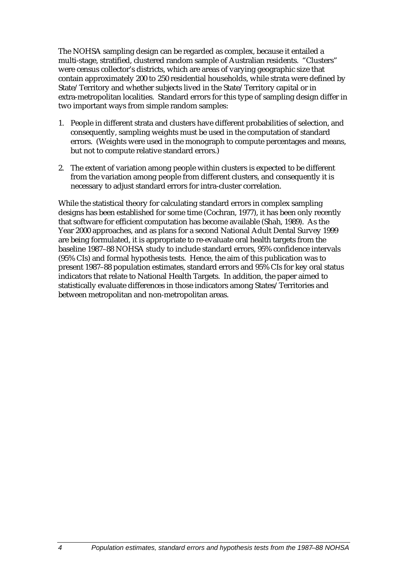The NOHSA sampling design can be regarded as complex, because it entailed a multi-stage, stratified, clustered random sample of Australian residents. "Clusters" were census collector's districts, which are areas of varying geographic size that contain approximately 200 to 250 residential households, while strata were defined by State/Territory and whether subjects lived in the State/Territory capital or in extra-metropolitan localities. Standard errors for this type of sampling design differ in two important ways from simple random samples:

- 1. People in different strata and clusters have different probabilities of selection, and consequently, sampling weights must be used in the computation of standard errors. (Weights were used in the monograph to compute percentages and means, but not to compute relative standard errors.)
- 2. The extent of variation among people within clusters is expected to be different from the variation among people from different clusters, and consequently it is necessary to adjust standard errors for intra-cluster correlation.

While the statistical theory for calculating standard errors in complex sampling designs has been established for some time (Cochran, 1977), it has been only recently that software for efficient computation has become available (Shah, 1989). As the Year 2000 approaches, and as plans for a second National Adult Dental Survey 1999 are being formulated, it is appropriate to re-evaluate oral health targets from the baseline 1987–88 NOHSA study to include standard errors, 95% confidence intervals (95% CIs) and formal hypothesis tests. Hence, the aim of this publication was to present 1987–88 population estimates, standard errors and 95% CIs for key oral status indicators that relate to National Health Targets. In addition, the paper aimed to statistically evaluate differences in those indicators among States/Territories and between metropolitan and non-metropolitan areas.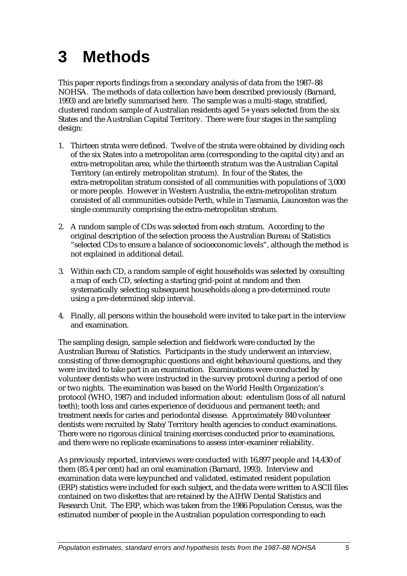## **3 Methods**

This paper reports findings from a secondary analysis of data from the 1987–88 NOHSA. The methods of data collection have been described previously (Barnard, 1993) and are briefly summarised here. The sample was a multi-stage, stratified, clustered random sample of Australian residents aged 5+ years selected from the six States and the Australian Capital Territory. There were four stages in the sampling design:

- 1. Thirteen strata were defined. Twelve of the strata were obtained by dividing each of the six States into a metropolitan area (corresponding to the capital city) and an extra-metropolitan area, while the thirteenth stratum was the Australian Capital Territory (an entirely metropolitan stratum). In four of the States, the extra-metropolitan stratum consisted of all communities with populations of 3,000 or more people. However in Western Australia, the extra-metropolitan stratum consisted of all communities outside Perth, while in Tasmania, Launceston was the single community comprising the extra-metropolitan stratum.
- 2. A random sample of CDs was selected from each stratum. According to the original description of the selection process the Australian Bureau of Statistics "selected CDs to ensure a balance of socioeconomic levels", although the method is not explained in additional detail.
- 3. Within each CD, a random sample of eight households was selected by consulting a map of each CD, selecting a starting grid-point at random and then systematically selecting subsequent households along a pre-determined route using a pre-determined skip interval.
- 4. Finally, all persons within the household were invited to take part in the interview and examination.

The sampling design, sample selection and fieldwork were conducted by the Australian Bureau of Statistics. Participants in the study underwent an interview, consisting of three demographic questions and eight behavioural questions, and they were invited to take part in an examination. Examinations were conducted by volunteer dentists who were instructed in the survey protocol during a period of one or two nights. The examination was based on the World Health Organization's protocol (WHO, 1987) and included information about: edentulism (loss of all natural teeth); tooth loss and caries experience of deciduous and permanent teeth; and treatment needs for caries and periodontal disease. Approximately 840 volunteer dentists were recruited by State/Territory health agencies to conduct examinations. There were no rigorous clinical training exercises conducted prior to examinations, and there were no replicate examinations to assess inter-examiner reliability.

As previously reported, interviews were conducted with 16,897 people and 14,430 of them (85.4 per cent) had an oral examination (Barnard, 1993). Interview and examination data were keypunched and validated, estimated resident population (ERP) statistics were included for each subject, and the data were written to ASCII files contained on two diskettes that are retained by the AIHW Dental Statistics and Research Unit. The ERP, which was taken from the 1986 Population Census, was the estimated number of people in the Australian population corresponding to each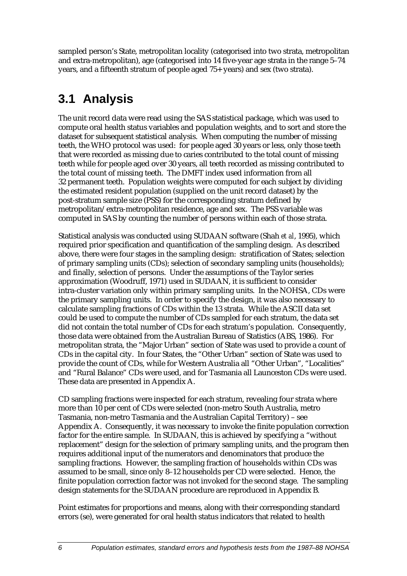sampled person's State, metropolitan locality (categorised into two strata, metropolitan and extra-metropolitan), age (categorised into 14 five-year age strata in the range 5–74 years, and a fifteenth stratum of people aged 75+ years) and sex (two strata).

## **3.1 Analysis**

The unit record data were read using the SAS statistical package, which was used to compute oral health status variables and population weights, and to sort and store the dataset for subsequent statistical analysis. When computing the number of missing teeth, the WHO protocol was used: for people aged 30 years or less, only those teeth that were recorded as missing due to caries contributed to the total count of missing teeth while for people aged over 30 years, all teeth recorded as missing contributed to the total count of missing teeth. The DMFT index used information from all 32 permanent teeth. Population weights were computed for each subject by dividing the estimated resident population (supplied on the unit record dataset) by the post-stratum sample size (PSS) for the corresponding stratum defined by metropolitan/extra-metropolitan residence, age and sex. The PSS variable was computed in SAS by counting the number of persons within each of those strata.

Statistical analysis was conducted using SUDAAN software (Shah *et al*, 1995), which required prior specification and quantification of the sampling design. As described above, there were four stages in the sampling design: stratification of States; selection of primary sampling units (CDs); selection of secondary sampling units (households); and finally, selection of persons. Under the assumptions of the Taylor series approximation (Woodruff, 1971) used in SUDAAN, it is sufficient to consider intra-cluster variation only within primary sampling units. In the NOHSA, CDs were the primary sampling units. In order to specify the design, it was also necessary to calculate sampling fractions of CDs within the 13 strata. While the ASCII data set could be used to compute the number of CDs sampled for each stratum, the data set did not contain the total number of CDs for each stratum's population. Consequently, those data were obtained from the Australian Bureau of Statistics (ABS, 1986). For metropolitan strata, the "Major Urban" section of State was used to provide a count of CDs in the capital city. In four States, the "Other Urban" section of State was used to provide the count of CDs, while for Western Australia all "Other Urban", "Localities" and "Rural Balance" CDs were used, and for Tasmania all Launceston CDs were used. These data are presented in Appendix A.

CD sampling fractions were inspected for each stratum, revealing four strata where more than 10 per cent of CDs were selected (non-metro South Australia, metro Tasmania, non-metro Tasmania and the Australian Capital Territory) – see Appendix A. Consequently, it was necessary to invoke the finite population correction factor for the entire sample. In SUDAAN, this is achieved by specifying a "without replacement" design for the selection of primary sampling units, and the program then requires additional input of the numerators and denominators that produce the sampling fractions. However, the sampling fraction of households within CDs was assumed to be small, since only 8–12 households per CD were selected. Hence, the finite population correction factor was not invoked for the second stage. The sampling design statements for the SUDAAN procedure are reproduced in Appendix B.

Point estimates for proportions and means, along with their corresponding standard errors (se), were generated for oral health status indicators that related to health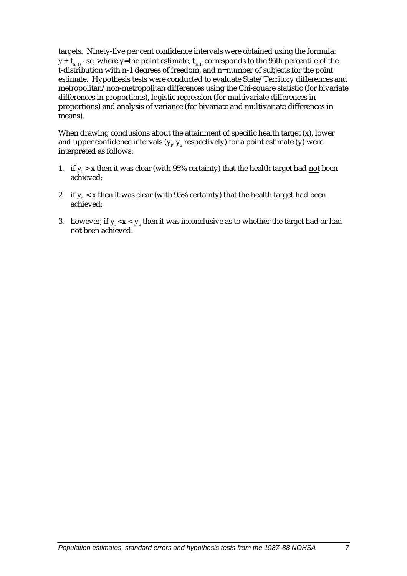targets. Ninety-five per cent confidence intervals were obtained using the formula:  $y \pm t_{n-1}$  ⋅ se, where y=the point estimate,  $t_{n-1}$  corresponds to the 95th percentile of the t-distribution with n-1 degrees of freedom, and n=number of subjects for the point estimate. Hypothesis tests were conducted to evaluate State/Territory differences and metropolitan/non-metropolitan differences using the Chi-square statistic (for bivariate differences in proportions), logistic regression (for multivariate differences in proportions) and analysis of variance (for bivariate and multivariate differences in means).

When drawing conclusions about the attainment of specific health target (x), lower and upper confidence intervals ( $\bm{{\mathsf{y}}}_{{\scriptscriptstyle \sf F}}$   $\bm{{\mathsf{y}}}_{{\scriptscriptstyle \sf u}}$  respectively) for a point estimate (y) were interpreted as follows:

- 1. if  $y_i > x$  then it was clear (with 95% certainty) that the health target had <u>not</u> been achieved;
- 2. if  $y_{\text{u}}$  < x then it was clear (with 95% certainty) that the health target had been achieved;
- 3.  $\,$  however, if  $y_{\text{\tiny{l}}}$  <x <  $y_{\text{\tiny{u}}}$  then it was inconclusive as to whether the target had or had not been achieved.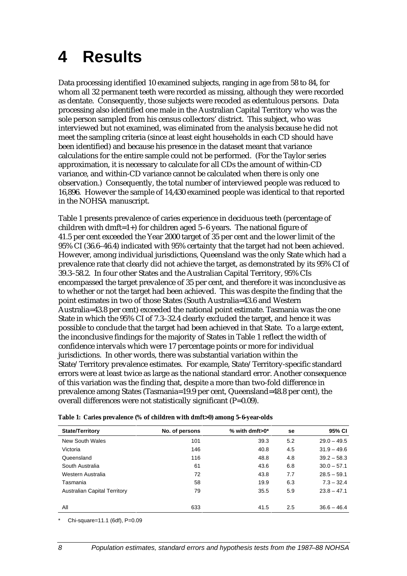## **4 Results**

Data processing identified 10 examined subjects, ranging in age from 58 to 84, for whom all 32 permanent teeth were recorded as missing, although they were recorded as dentate. Consequently, those subjects were recoded as edentulous persons. Data processing also identified one male in the Australian Capital Territory who was the sole person sampled from his census collectors' district. This subject, who was interviewed but not examined, was eliminated from the analysis because he did not meet the sampling criteria (since at least eight households in each CD should have been identified) and because his presence in the dataset meant that variance calculations for the entire sample could not be performed. (For the Taylor series approximation, it is necessary to calculate for all CDs the amount of within-CD variance, and within-CD variance cannot be calculated when there is only one observation.) Consequently, the total number of interviewed people was reduced to 16,896. However the sample of 14,430 examined people was identical to that reported in the NOHSA manuscript.

Table 1 presents prevalence of caries experience in deciduous teeth (percentage of children with dmft=1+) for children aged 5–6 years. The national figure of 41.5 per cent exceeded the Year 2000 target of 35 per cent and the lower limit of the 95% CI (36.6–46.4) indicated with 95% certainty that the target had not been achieved. However, among individual jurisdictions, Queensland was the only State which had a prevalence rate that clearly did not achieve the target, as demonstrated by its 95% CI of 39.3–58.2. In four other States and the Australian Capital Territory, 95% CIs encompassed the target prevalence of 35 per cent, and therefore it was inconclusive as to whether or not the target had been achieved. This was despite the finding that the point estimates in two of those States (South Australia=43.6 and Western Australia=43.8 per cent) exceeded the national point estimate. Tasmania was the one State in which the 95% CI of 7.3–32.4 clearly excluded the target, and hence it was possible to conclude that the target had been achieved in that State. To a large extent, the inconclusive findings for the majority of States in Table 1 reflect the width of confidence intervals which were 17 percentage points or more for individual jurisdictions. In other words, there was substantial variation within the State/Territory prevalence estimates. For example, State/Territory-specific standard errors were at least twice as large as the national standard error. Another consequence of this variation was the finding that, despite a more than two-fold difference in prevalence among States (Tasmania=19.9 per cent, Queensland=48.8 per cent), the overall differences were not statistically significant (P=0.09).

| <b>State/Territory</b>              | No. of persons | % with dmft $>0^*$ | se  | 95% CI        |
|-------------------------------------|----------------|--------------------|-----|---------------|
| New South Wales                     | 101            | 39.3               | 5.2 | $29.0 - 49.5$ |
| Victoria                            | 146            | 40.8               | 4.5 | $31.9 - 49.6$ |
| Queensland                          | 116            | 48.8               | 4.8 | $39.2 - 58.3$ |
| South Australia                     | 61             | 43.6               | 6.8 | $30.0 - 57.1$ |
| Western Australia                   | 72             | 43.8               | 7.7 | $28.5 - 59.1$ |
| Tasmania                            | 58             | 19.9               | 6.3 | $7.3 - 32.4$  |
| <b>Australian Capital Territory</b> | 79             | 35.5               | 5.9 | $23.8 - 47.1$ |
| ΑIΙ                                 | 633            | 41.5               | 2.5 | $36.6 - 46.4$ |

| Table 1: Caries prevalence (% of children with dmft>0) among 5-6-year-olds |
|----------------------------------------------------------------------------|
|----------------------------------------------------------------------------|

Chi-square=11.1 (6df), P=0.09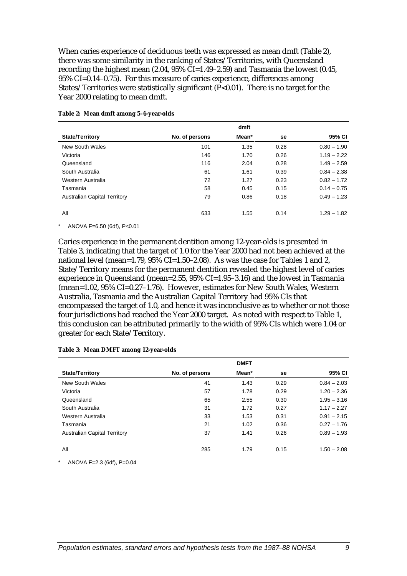When caries experience of deciduous teeth was expressed as mean dmft (Table 2), there was some similarity in the ranking of States/Territories, with Queensland recording the highest mean (2.04, 95% CI=1.49–2.59) and Tasmania the lowest (0.45, 95% CI=0.14–0.75). For this measure of caries experience, differences among States/Territories were statistically significant (P<0.01). There is no target for the Year 2000 relating to mean dmft.

| <b>State/Territory</b>              | No. of persons | Mean* | se   | 95% CI        |
|-------------------------------------|----------------|-------|------|---------------|
| New South Wales                     | 101            | 1.35  | 0.28 | $0.80 - 1.90$ |
| Victoria                            | 146            | 1.70  | 0.26 | $1.19 - 2.22$ |
| Queensland                          | 116            | 2.04  | 0.28 | $1.49 - 2.59$ |
| South Australia                     | 61             | 1.61  | 0.39 | $0.84 - 2.38$ |
| Western Australia                   | 72             | 1.27  | 0.23 | $0.82 - 1.72$ |
| Tasmania                            | 58             | 0.45  | 0.15 | $0.14 - 0.75$ |
| <b>Australian Capital Territory</b> | 79             | 0.86  | 0.18 | $0.49 - 1.23$ |
| All                                 | 633            | 1.55  | 0.14 | $1.29 - 1.82$ |

#### **Table 2: Mean dmft among 5–6-year-olds**

\* ANOVA F=6.50 (6df), P<0.01

Caries experience in the permanent dentition among 12-year-olds is presented in Table 3, indicating that the target of 1.0 for the Year 2000 had not been achieved at the national level (mean=1.79,  $95\%$  CI=1.50–2.08). As was the case for Tables 1 and 2, State/Territory means for the permanent dentition revealed the highest level of caries experience in Queensland (mean=2.55, 95% CI=1.95–3.16) and the lowest in Tasmania (mean=1.02, 95% CI=0.27–1.76). However, estimates for New South Wales, Western Australia, Tasmania and the Australian Capital Territory had 95% CIs that encompassed the target of 1.0, and hence it was inconclusive as to whether or not those four jurisdictions had reached the Year 2000 target. As noted with respect to Table 1, this conclusion can be attributed primarily to the width of 95% CIs which were 1.04 or greater for each State/Territory.

|                                     |                | <b>DMFT</b> |      |               |
|-------------------------------------|----------------|-------------|------|---------------|
| <b>State/Territory</b>              | No. of persons | Mean*       | se   | 95% CI        |
| New South Wales                     | 41             | 1.43        | 0.29 | $0.84 - 2.03$ |
| Victoria                            | 57             | 1.78        | 0.29 | $1.20 - 2.36$ |
| Queensland                          | 65             | 2.55        | 0.30 | $1.95 - 3.16$ |
| South Australia                     | 31             | 1.72        | 0.27 | $1.17 - 2.27$ |
| Western Australia                   | 33             | 1.53        | 0.31 | $0.91 - 2.15$ |
| Tasmania                            | 21             | 1.02        | 0.36 | $0.27 - 1.76$ |
| <b>Australian Capital Territory</b> | 37             | 1.41        | 0.26 | $0.89 - 1.93$ |
| All                                 | 285            | 1.79        | 0.15 | $1.50 - 2.08$ |

#### **Table 3: Mean DMFT among 12-year-olds**

 $ANOVA F=2.3$  (6df),  $P=0.04$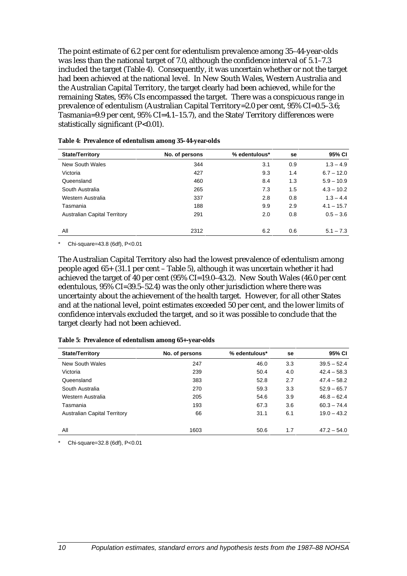The point estimate of 6.2 per cent for edentulism prevalence among 35–44-year-olds was less than the national target of 7.0, although the confidence interval of 5.1–7.3 included the target (Table 4). Consequently, it was uncertain whether or not the target had been achieved at the national level. In New South Wales, Western Australia and the Australian Capital Territory, the target clearly had been achieved, while for the remaining States, 95% CIs encompassed the target. There was a conspicuous range in prevalence of edentulism (Australian Capital Territory=2.0 per cent, 95% CI=0.5–3.6; Tasmania=9.9 per cent, 95% CI=4.1–15.7), and the State/Territory differences were statistically significant  $(P<0.01)$ .

| <b>State/Territory</b>              | No. of persons | % edentulous* | se  | 95% CI       |
|-------------------------------------|----------------|---------------|-----|--------------|
| New South Wales                     | 344            | 3.1           | 0.9 | $1.3 - 4.9$  |
| Victoria                            | 427            | 9.3           | 1.4 | $6.7 - 12.0$ |
| Queensland                          | 460            | 8.4           | 1.3 | $5.9 - 10.9$ |
| South Australia                     | 265            | 7.3           | 1.5 | $4.3 - 10.2$ |
| Western Australia                   | 337            | 2.8           | 0.8 | $1.3 - 4.4$  |
| Tasmania                            | 188            | 9.9           | 2.9 | $4.1 - 15.7$ |
| <b>Australian Capital Territory</b> | 291            | 2.0           | 0.8 | $0.5 - 3.6$  |
|                                     |                |               |     |              |
| All                                 | 2312           | 6.2           | 0.6 | $5.1 - 7.3$  |

**Table 4: Prevalence of edentulism among 35–44-year-olds**

Chi-square=43.8 (6df), P<0.01

The Australian Capital Territory also had the lowest prevalence of edentulism among people aged 65+ (31.1 per cent – Table 5), although it was uncertain whether it had achieved the target of 40 per cent (95% CI=19.0–43.2). New South Wales (46.0 per cent edentulous, 95% CI=39.5–52.4) was the only other jurisdiction where there was uncertainty about the achievement of the health target. However, for all other States and at the national level, point estimates exceeded 50 per cent, and the lower limits of confidence intervals excluded the target, and so it was possible to conclude that the target clearly had not been achieved.

|  |  |  | Table 5: Prevalence of edentulism among 65+-year-olds |
|--|--|--|-------------------------------------------------------|
|--|--|--|-------------------------------------------------------|

| <b>State/Territory</b>              | No. of persons | % edentulous* | se  | 95% CI        |
|-------------------------------------|----------------|---------------|-----|---------------|
| New South Wales                     | 247            | 46.0          | 3.3 | $39.5 - 52.4$ |
| Victoria                            | 239            | 50.4          | 4.0 | $42.4 - 58.3$ |
| Queensland                          | 383            | 52.8          | 2.7 | $47.4 - 58.2$ |
| South Australia                     | 270            | 59.3          | 3.3 | $52.9 - 65.7$ |
| Western Australia                   | 205            | 54.6          | 3.9 | $46.8 - 62.4$ |
| Tasmania                            | 193            | 67.3          | 3.6 | $60.3 - 74.4$ |
| <b>Australian Capital Territory</b> | 66             | 31.1          | 6.1 | $19.0 - 43.2$ |
| All                                 | 1603           | 50.6          | 1.7 | $47.2 - 54.0$ |

Chi-square=32.8 (6df), P<0.01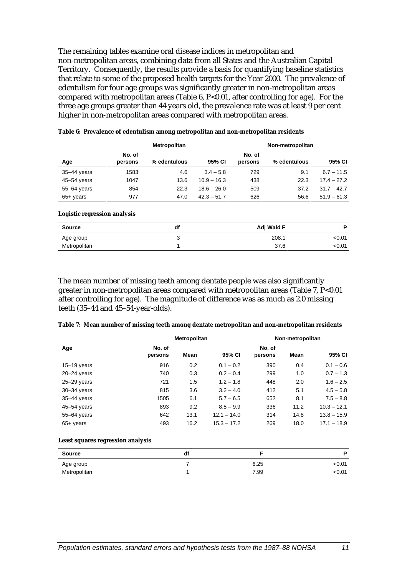The remaining tables examine oral disease indices in metropolitan and non-metropolitan areas, combining data from all States and the Australian Capital Territory. Consequently, the results provide a basis for quantifying baseline statistics that relate to some of the proposed health targets for the Year 2000. The prevalence of edentulism for four age groups was significantly greater in non-metropolitan areas compared with metropolitan areas (Table  $6$ , P<0.01, after controlling for age). For the three age groups greater than 44 years old, the prevalence rate was at least 9 per cent higher in non-metropolitan areas compared with metropolitan areas.

|                              |                   | <b>Metropolitan</b> |               |                   | Non-metropolitan |               |
|------------------------------|-------------------|---------------------|---------------|-------------------|------------------|---------------|
| Age                          | No. of<br>persons | % edentulous        | 95% CI        | No. of<br>persons | % edentulous     | 95% CI        |
| 35-44 years                  | 1583              | 4.6                 | $3.4 - 5.8$   | 729               | 9.1              | $6.7 - 11.5$  |
| 45-54 years                  | 1047              | 13.6                | $10.9 - 16.3$ | 438               | 22.3             | $17.4 - 27.2$ |
| 55-64 years                  | 854               | 22.3                | $18.6 - 26.0$ | 509               | 37.2             | $31.7 - 42.7$ |
| $65+$ years                  | 977               | 47.0                | $42.3 - 51.7$ | 626               | 56.6             | $51.9 - 61.3$ |
| Logistic regression analysis |                   |                     |               |                   |                  |               |
| <b>Source</b>                |                   | df                  |               |                   | Adj Wald F       | P             |
| Age group                    |                   | 3                   |               |                   | 208.1            | < 0.01        |

Metropolitan 1 37.6 <0.01

The mean number of missing teeth among dentate people was also significantly greater in non-metropolitan areas compared with metropolitan areas (Table 7, P<0.01 after controlling for age). The magnitude of difference was as much as 2.0 missing teeth (35–44 and 45–54-year-olds).

| Table 7: Mean number of missing teeth among dentate metropolitan and non-metropolitan residents |  |  |  |
|-------------------------------------------------------------------------------------------------|--|--|--|
|-------------------------------------------------------------------------------------------------|--|--|--|

|                 |                   | Metropolitan |               |                   | Non-metropolitan |               |
|-----------------|-------------------|--------------|---------------|-------------------|------------------|---------------|
| Age             | No. of<br>persons | Mean         | 95% CI        | No. of<br>persons | Mean             | 95% CI        |
| $15-19$ years   | 916               | 0.2          | $0.1 - 0.2$   | 390               | 0.4              | $0.1 - 0.6$   |
| $20 - 24$ years | 740               | 0.3          | $0.2 - 0.4$   | 299               | 1.0              | $0.7 - 1.3$   |
| $25 - 29$ years | 721               | 1.5          | $1.2 - 1.8$   | 448               | 2.0              | $1.6 - 2.5$   |
| $30 - 34$ years | 815               | 3.6          | $3.2 - 4.0$   | 412               | 5.1              | $4.5 - 5.8$   |
| 35-44 years     | 1505              | 6.1          | $5.7 - 6.5$   | 652               | 8.1              | $7.5 - 8.8$   |
| $45 - 54$ years | 893               | 9.2          | $8.5 - 9.9$   | 336               | 11.2             | $10.3 - 12.1$ |
| $55 - 64$ years | 642               | 13.1         | $12.1 - 14.0$ | 314               | 14.8             | $13.8 - 15.9$ |
| $65+$ years     | 493               | 16.2         | $15.3 - 17.2$ | 269               | 18.0             | $17.1 - 18.9$ |

#### **Least squares regression analysis**

| <b>Source</b> | di |      | D      |
|---------------|----|------|--------|
| Age group     |    | 6.25 | < 0.01 |
| Metropolitan  |    | 7.99 | < 0.01 |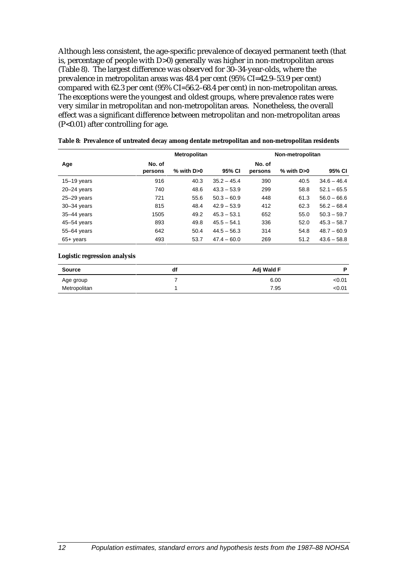Although less consistent, the age-specific prevalence of decayed permanent teeth (that is, percentage of people with D>0) generally was higher in non-metropolitan areas (Table 8). The largest difference was observed for 30–34-year-olds, where the prevalence in metropolitan areas was 48.4 per cent (95% CI=42.9–53.9 per cent) compared with 62.3 per cent (95% CI=56.2–68.4 per cent) in non-metropolitan areas. The exceptions were the youngest and oldest groups, where prevalence rates were very similar in metropolitan and non-metropolitan areas. Nonetheless, the overall effect was a significant difference between metropolitan and non-metropolitan areas (P<0.01) after controlling for age.

|                 | Metropolitan      |                 |               | Non-metropolitan  |            |               |
|-----------------|-------------------|-----------------|---------------|-------------------|------------|---------------|
| Age             | No. of<br>persons | $%$ with D $>0$ | 95% CI        | No. of<br>persons | % with D>0 | 95% CI        |
| 15-19 years     | 916               | 40.3            | $35.2 - 45.4$ | 390               | 40.5       | $34.6 - 46.4$ |
| $20 - 24$ years | 740               | 48.6            | $43.3 - 53.9$ | 299               | 58.8       | $52.1 - 65.5$ |
| $25 - 29$ years | 721               | 55.6            | $50.3 - 60.9$ | 448               | 61.3       | $56.0 - 66.6$ |
| $30 - 34$ years | 815               | 48.4            | $42.9 - 53.9$ | 412               | 62.3       | $56.2 - 68.4$ |
| 35-44 years     | 1505              | 49.2            | $45.3 - 53.1$ | 652               | 55.0       | $50.3 - 59.7$ |
| $45 - 54$ years | 893               | 49.8            | $45.5 - 54.1$ | 336               | 52.0       | $45.3 - 58.7$ |
| 55-64 years     | 642               | 50.4            | $44.5 - 56.3$ | 314               | 54.8       | $48.7 - 60.9$ |
| $65+$ years     | 493               | 53.7            | $47.4 - 60.0$ | 269               | 51.2       | $43.6 - 58.8$ |

**Table 8: Prevalence of untreated decay among dentate metropolitan and non-metropolitan residents**

#### **Logistic regression analysis**

| <b>Source</b> | df | Adj Wald F | D      |
|---------------|----|------------|--------|
| Age group     |    | 6.00       | <0.01  |
| Metropolitan  |    | 7.95       | < 0.01 |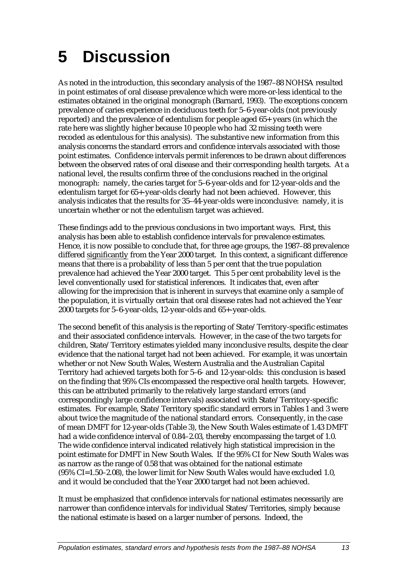## **5 Discussion**

As noted in the introduction, this secondary analysis of the 1987–88 NOHSA resulted in point estimates of oral disease prevalence which were more-or-less identical to the estimates obtained in the original monograph (Barnard, 1993). The exceptions concern prevalence of caries experience in deciduous teeth for 5–6-year-olds (not previously reported) and the prevalence of edentulism for people aged 65+ years (in which the rate here was slightly higher because 10 people who had 32 missing teeth were recoded as edentulous for this analysis). The substantive new information from this analysis concerns the standard errors and confidence intervals associated with those point estimates. Confidence intervals permit inferences to be drawn about differences between the observed rates of oral disease and their corresponding health targets. At a national level, the results confirm three of the conclusions reached in the original monograph: namely, the caries target for 5–6-year-olds and for 12-year-olds and the edentulism target for 65+-year-olds clearly had not been achieved. However, this analysis indicates that the results for 35–44-year-olds were inconclusive: namely, it is uncertain whether or not the edentulism target was achieved.

These findings add to the previous conclusions in two important ways. First, this analysis has been able to establish confidence intervals for prevalence estimates. Hence, it is now possible to conclude that, for three age groups, the 1987–88 prevalence differed significantly from the Year 2000 target. In this context, a significant difference means that there is a probability of less than 5 per cent that the true population prevalence had achieved the Year 2000 target. This 5 per cent probability level is the level conventionally used for statistical inferences. It indicates that, even after allowing for the imprecision that is inherent in surveys that examine only a sample of the population, it is virtually certain that oral disease rates had not achieved the Year 2000 targets for 5–6-year-olds, 12-year-olds and 65+-year-olds.

The second benefit of this analysis is the reporting of State/Territory-specific estimates and their associated confidence intervals. However, in the case of the two targets for children, State/Territory estimates yielded many inconclusive results, despite the clear evidence that the national target had not been achieved. For example, it was uncertain whether or not New South Wales, Western Australia and the Australian Capital Territory had achieved targets both for 5–6- and 12-year-olds: this conclusion is based on the finding that 95% CIs encompassed the respective oral health targets. However, this can be attributed primarily to the relatively large standard errors (and correspondingly large confidence intervals) associated with State/Territory-specific estimates. For example, State/Territory specific standard errors in Tables 1 and 3 were about twice the magnitude of the national standard errors. Consequently, in the case of mean DMFT for 12-year-olds (Table 3), the New South Wales estimate of 1.43 DMFT had a wide confidence interval of 0.84–2.03, thereby encompassing the target of 1.0. The wide confidence interval indicated relatively high statistical imprecision in the point estimate for DMFT in New South Wales. If the 95% CI for New South Wales was as narrow as the range of 0.58 that was obtained for the national estimate (95% CI=1.50–2.08), the lower limit for New South Wales would have excluded 1.0, and it would be concluded that the Year 2000 target had not been achieved.

It must be emphasized that confidence intervals for national estimates necessarily are narrower than confidence intervals for individual States/Territories, simply because the national estimate is based on a larger number of persons. Indeed, the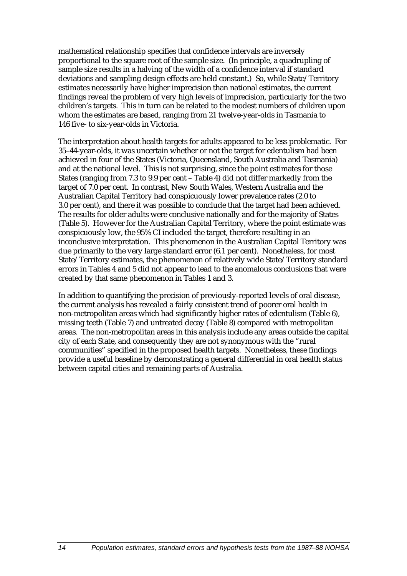mathematical relationship specifies that confidence intervals are inversely proportional to the square root of the sample size. (In principle, a quadrupling of sample size results in a halving of the width of a confidence interval if standard deviations and sampling design effects are held constant.) So, while State/Territory estimates necessarily have higher imprecision than national estimates, the current findings reveal the problem of very high levels of imprecision, particularly for the two children's targets. This in turn can be related to the modest numbers of children upon whom the estimates are based, ranging from 21 twelve-year-olds in Tasmania to 146 five- to six-year-olds in Victoria.

The interpretation about health targets for adults appeared to be less problematic. For 35–44-year-olds, it was uncertain whether or not the target for edentulism had been achieved in four of the States (Victoria, Queensland, South Australia and Tasmania) and at the national level. This is not surprising, since the point estimates for those States (ranging from 7.3 to 9.9 per cent – Table 4) did not differ markedly from the target of 7.0 per cent. In contrast, New South Wales, Western Australia and the Australian Capital Territory had conspicuously lower prevalence rates (2.0 to 3.0 per cent), and there it was possible to conclude that the target had been achieved. The results for older adults were conclusive nationally and for the majority of States (Table 5). However for the Australian Capital Territory, where the point estimate was conspicuously low, the 95% CI included the target, therefore resulting in an inconclusive interpretation. This phenomenon in the Australian Capital Territory was due primarily to the very large standard error (6.1 per cent). Nonetheless, for most State/Territory estimates, the phenomenon of relatively wide State/Territory standard errors in Tables 4 and 5 did not appear to lead to the anomalous conclusions that were created by that same phenomenon in Tables 1 and 3.

In addition to quantifying the precision of previously-reported levels of oral disease, the current analysis has revealed a fairly consistent trend of poorer oral health in non-metropolitan areas which had significantly higher rates of edentulism (Table 6), missing teeth (Table 7) and untreated decay (Table 8) compared with metropolitan areas. The non-metropolitan areas in this analysis include any areas outside the capital city of each State, and consequently they are not synonymous with the "rural communities" specified in the proposed health targets. Nonetheless, these findings provide a useful baseline by demonstrating a general differential in oral health status between capital cities and remaining parts of Australia.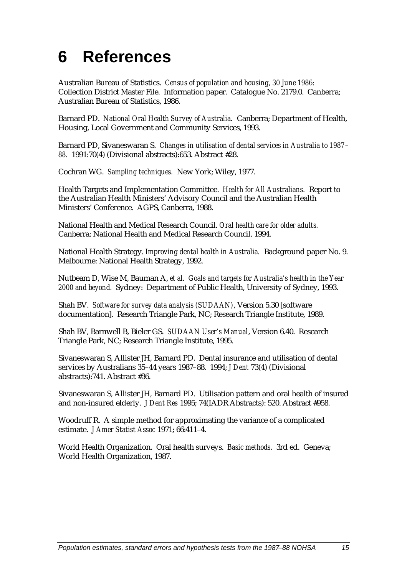## **6 References**

Australian Bureau of Statistics. *Census of population and housing, 30 June 1986:* Collection District Master File. Information paper. Catalogue No. 2179.0. Canberra; Australian Bureau of Statistics, 1986.

Barnard PD. *National Oral Health Survey of Australia.* Canberra; Department of Health, Housing, Local Government and Community Services, 1993.

Barnard PD, Sivaneswaran S. *Changes in utilisation of dental services in Australia to 1987– 88.* 1991:70(4) (Divisional abstracts):653. Abstract #28.

Cochran WG. *Sampling techniques.* New York; Wiley, 1977.

Health Targets and Implementation Committee. *Health for All Australians.* Report to the Australian Health Ministers' Advisory Council and the Australian Health Ministers' Conference. AGPS, Canberra, 1988.

National Health and Medical Research Council. *Oral health care for older adults.* Canberra: National Health and Medical Research Council. 1994.

National Health Strategy. *Improving dental health in Australia.* Background paper No. 9. Melbourne: National Health Strategy, 1992.

Nutbeam D, Wise M, Bauman A, *et al. Goals and targets for Australia's health in the Year 2000 and beyond.* Sydney: Department of Public Health, University of Sydney, 1993.

Shah BV. *Software for survey data analysis (SUDAAN)*, Version 5.30 [software documentation]. Research Triangle Park, NC; Research Triangle Institute, 1989.

Shah BV, Barnwell B, Bieler GS. *SUDAAN User's Manual*, Version 6.40. Research Triangle Park, NC; Research Triangle Institute, 1995.

Sivaneswaran S, Allister JH, Barnard PD. Dental insurance and utilisation of dental services by Australians 35–44 years 1987–88. 1994; *J Dent* 73(4) (Divisional abstracts):741. Abstract #36.

Sivaneswaran S, Allister JH, Barnard PD. Utilisation pattern and oral health of insured and non-insured elderly. *J Dent Res* 1995; 74(IADR Abstracts): 520. Abstract #958.

Woodruff R. A simple method for approximating the variance of a complicated estimate. *J Amer Statist Assoc* 1971; 66:411–4.

World Health Organization. Oral health surveys. *Basic methods*. 3rd ed. Geneva; World Health Organization, 1987.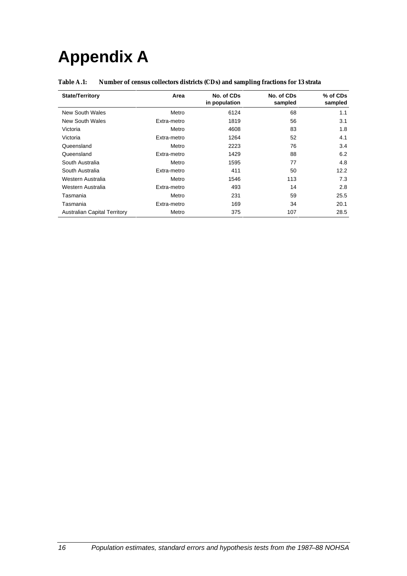# **Appendix A**

| <b>Table A.1:</b> | Number of census collectors districts (CDs) and sampling fractions for 13 strata |  |  |
|-------------------|----------------------------------------------------------------------------------|--|--|
|                   |                                                                                  |  |  |

| <b>State/Territory</b>              | Area        | No. of CDs<br>in population | No. of CDs<br>sampled | % of CDs<br>sampled |
|-------------------------------------|-------------|-----------------------------|-----------------------|---------------------|
| New South Wales                     | Metro       | 6124                        | 68                    | 1.1                 |
| New South Wales                     | Extra-metro | 1819                        | 56                    | 3.1                 |
| Victoria                            | Metro       | 4608                        | 83                    | 1.8                 |
| Victoria                            | Extra-metro | 1264                        | 52                    | 4.1                 |
| Queensland                          | Metro       | 2223                        | 76                    | 3.4                 |
| Queensland                          | Extra-metro | 1429                        | 88                    | 6.2                 |
| South Australia                     | Metro       | 1595                        | 77                    | 4.8                 |
| South Australia                     | Extra-metro | 411                         | 50                    | 12.2                |
| Western Australia                   | Metro       | 1546                        | 113                   | 7.3                 |
| Western Australia                   | Extra-metro | 493                         | 14                    | 2.8                 |
| Tasmania                            | Metro       | 231                         | 59                    | 25.5                |
| Tasmania                            | Extra-metro | 169                         | 34                    | 20.1                |
| <b>Australian Capital Territory</b> | Metro       | 375                         | 107                   | 28.5                |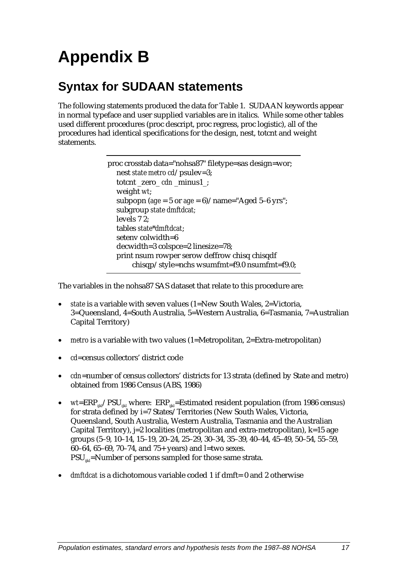# **Appendix B**

## **Syntax for SUDAAN statements**

The following statements produced the data for Table 1. SUDAAN keywords appear in normal typeface and user supplied variables are in italics. While some other tables used different procedures (proc descript, proc regress, proc logistic), all of the procedures had identical specifications for the design, nest, totcnt and weight statements.

```
proc crosstab data="nohsa87" filetype=sas design=wor;
nest state metro cd/psulev=3;
totcnt _zero_ cdn _minus1_;
weight wt;
subpopn (age = 5 or age = 6)/name="Aged 5-6 yrs";
subgroup state dmftdcat;
levels 7 2;
tables state*dmftdcat;
setenv colwidth=6
decwidth=3 colspce=2 linesize=78;
print nsum rowper serow deffrow chisq chisqdf
     chisqp/style=nchs wsumfmt=f9.0 nsumfmt=f9.0;
```
The variables in the nohsa87 SAS dataset that relate to this procedure are:

- *state* is a variable with seven values (1=New South Wales, 2=Victoria, 3=Queensland, 4=South Australia, 5=Western Australia, 6=Tasmania, 7=Australian Capital Territory)
- *metro* is a variable with two values (1=Metropolitan, 2=Extra-metropolitan)
- *cd*=census collectors' district code
- *cdn*=number of census collectors' districts for 13 strata (defined by State and metro) obtained from 1986 Census (ABS, 1986)
- $wt = ERP_{ijkl}/PSU_{ijkl}$  where:  $ERP_{ijkl} = Estimated$  resident population (from 1986 census) for strata defined by i=7 States/Territories (New South Wales, Victoria, Queensland, South Australia, Western Australia, Tasmania and the Australian Capital Territory), j=2 localities (metropolitan and extra-metropolitan), k=15 age groups (5–9, 10–14, 15–19, 20–24, 25–29, 30–34, 35–39, 40–44, 45–49, 50–54, 55–59, 60–64, 65–69, 70–74, and 75+ years) and l=two sexes.  $PSU_{\text{rel}}=$ Number of persons sampled for those same strata.
- *dmftdcat* is a dichotomous variable coded 1 if dmft= 0 and 2 otherwise